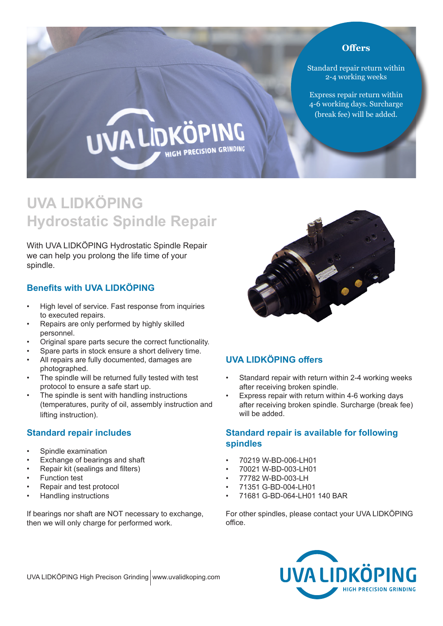#### **Offers**

Standard repair return within 2-4 working weeks

Express repair return within 4-6 working days. Surcharge (break fee) will be added.

# **UVA LIDKÖ PRECISION GRINDING**

# **UVA LIDKÖPING Hydrostatic Spindle Repair**

With UVA LIDKÖPING Hydrostatic Spindle Repair we can help you prolong the life time of your spindle.

# **Benefits with UVA LIDKÖPING**

- High level of service. Fast response from inquiries to executed repairs.
- Repairs are only performed by highly skilled personnel.
- Original spare parts secure the correct functionality.
- Spare parts in stock ensure a short delivery time.
- All repairs are fully documented, damages are photographed.
- The spindle will be returned fully tested with test protocol to ensure a safe start up.
- The spindle is sent with handling instructions (temperatures, purity of oil, assembly instruction and lifting instruction).

## **Standard repair includes**

- Spindle examination
- Exchange of bearings and shaft
- Repair kit (sealings and filters)
- **Function test**
- Repair and test protocol
- Handling instructions

If bearings nor shaft are NOT necessary to exchange, then we will only charge for performed work.



# **UVA LIDKÖPING offers**

- Standard repair with return within 2-4 working weeks after receiving broken spindle.
- Express repair with return within 4-6 working days after receiving broken spindle. Surcharge (break fee) will be added.

#### **Standard repair is available for following spindles**

- 70219 W-BD-006-LH01
- 70021 W-BD-003-LH01
- 77782 W-BD-003-LH
- 71351 G-BD-004-LH01
- 71681 G-BD-064-LH01 140 BAR

For other spindles, please contact your UVA LIDKÖPING office.



UVA LIDKÖPING High Precison Grinding www.uvalidkoping.com